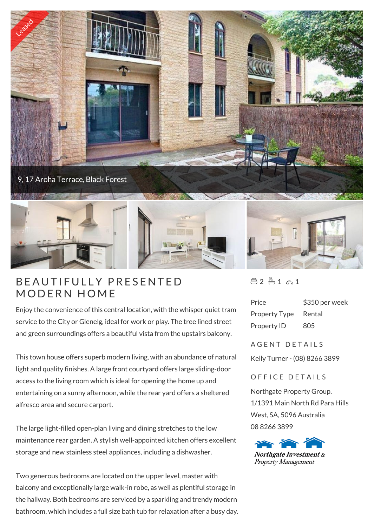

## BEAUTIFULLY PRE

Enjoy the convenience of this central location, with the whisper quiet tram service to the City or Glenelg, ideal for work or play. The tree lined street and green surroundings offers a beautiful vista from the upstairs balcony.

This town house offers superb modern living, with an abundance of natural light and quality finishes. A large front courtyard offers large sliding-door access to the living room which is ideal for opening the home up and entertaining on a sunny afternoon, while the rear yard offers a sheltered alfresco area and secure carport.

The large light-filled open-plan living and dining stretches to the low maintenance rear garden. A stylish well-appointed kitchen offers excellent storage and new stainless steel appliances, including a dishwasher.

Two generous bedrooms are located on the upper level, master with balcony and exceptionally large walk-in robe, as well as plentiful storage in the hallway. Both bedrooms are serviced by a sparkling and trendy modern bathroom, which includes a full size bath tub for relaxation after a busy day.  $42 - 1 \approx 1$ 

| Price                | \$350 per week |
|----------------------|----------------|
| <b>Property Type</b> | Rental         |
| Property ID          | 805            |

A G E N T D E T A I L S

Kelly Turner - (08) 8266 3899

## OFFICE DETAILS

Northgate Property Group. 1/1391 Main North Rd Para Hills West, SA, 5096 Australia 08 8266 3899